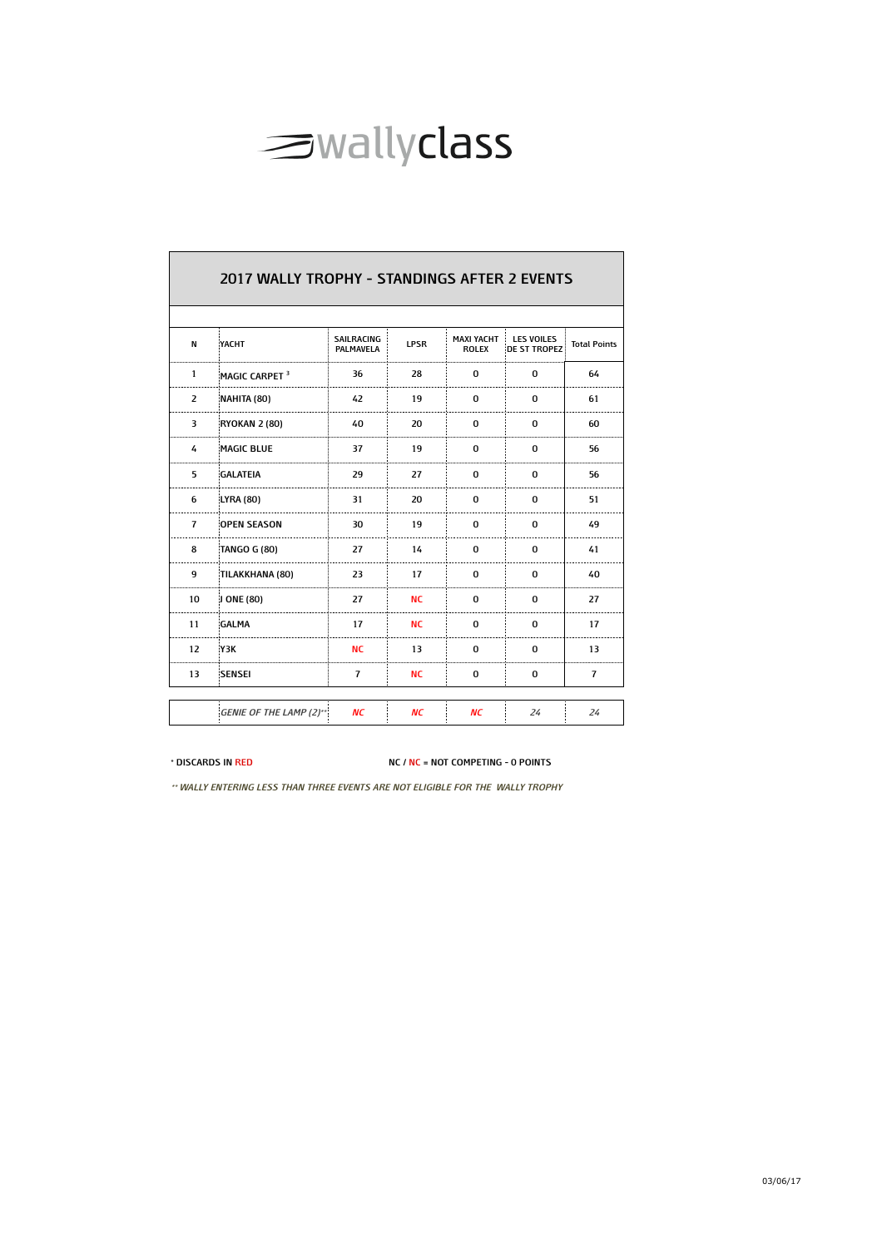

|                | 2017 WALLY TROPHY - STANDINGS AFTER 2 EVENTS |                         |             |                                   |                                          |                     |
|----------------|----------------------------------------------|-------------------------|-------------|-----------------------------------|------------------------------------------|---------------------|
|                |                                              |                         |             |                                   |                                          |                     |
| N              | YACHT                                        | SAILRACING<br>PALMAVELA | <b>LPSR</b> | <b>MAXI YACHT</b><br><b>ROLEX</b> | <b>LES VOILES</b><br><b>DE ST TROPEZ</b> | <b>Total Points</b> |
| 1              | MAGIC CARPET <sup>3</sup>                    | 36                      | 28          | 0                                 | 0                                        | 64                  |
| $\overline{2}$ | NAHITA (80)                                  | 42                      | 19          | 0                                 | 0                                        | 61                  |
| 3              | <b>RYOKAN 2 (80)</b>                         | 40                      | 20          | 0                                 | 0                                        | 60                  |
| 4              | <b>MAGIC BLUE</b>                            | 37                      | 19          | 0                                 | 0                                        | 56                  |
| 5              | <b>GALATEIA</b>                              | 29                      | 27          | 0                                 | 0                                        | 56                  |
| 6              | LYRA (80)                                    | 31                      | 20          | 0                                 | 0                                        | 51                  |
| $\overline{7}$ | <b>OPEN SEASON</b>                           | 30                      | 19          | 0                                 | 0                                        | 49                  |
| 8              | <b>TANGO G (80)</b>                          | 27                      | 14          | 0                                 | 0                                        | 41                  |
| 9              | TILAKKHANA (80)                              | 23                      | 17          | 0                                 | 0                                        | 40                  |
| 10             | J ONE (80)                                   | 27                      | <b>NC</b>   | 0                                 | 0                                        | 27                  |
| 11             | <b>GALMA</b>                                 | 17                      | <b>NC</b>   | 0                                 | 0                                        | 17                  |
| 12             | <b>ҮЗК</b>                                   | <b>NC</b>               | 13          | 0                                 | 0                                        | 13                  |
| 13             | SENSEI                                       | $\overline{7}$          | NC          | 0                                 | 0                                        | $\overline{7}$      |
|                |                                              |                         |             |                                   |                                          |                     |
|                | <b>GENIE OF THE LAMP (2)**:</b>              | ΝC                      | NC          | ΝC                                | 24                                       | 24                  |

**\* DISCARDS IN RED NC / NC = NOT COMPETING - 0 POINTS**

**\*\* WALLY ENTERING LESS THAN THREE EVENTS ARE NOT ELIGIBLE FOR THE WALLY TROPHY**